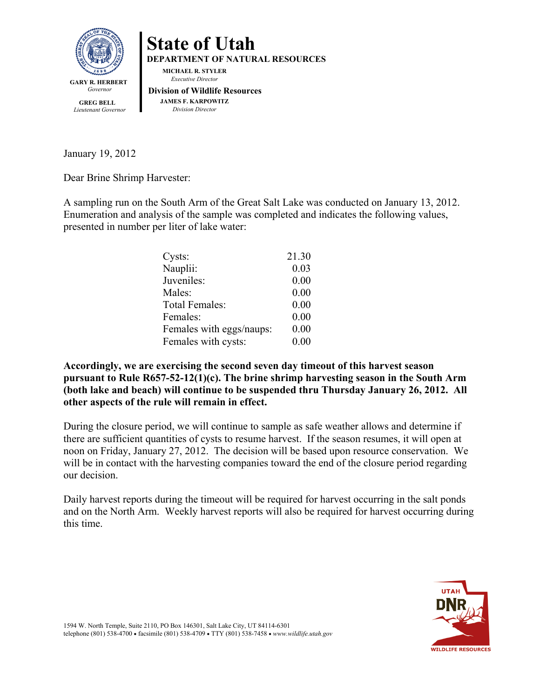

**State of Utah DEPARTMENT OF NATURAL RESOURCES MICHAEL R. STYLER** *Executive Director*  **Division of Wildlife Resources JAMES F. KARPOWITZ** *Division Director*

 **GREG BELL** *Lieutenant Governor*

January 19, 2012

Dear Brine Shrimp Harvester:

A sampling run on the South Arm of the Great Salt Lake was conducted on January 13, 2012. Enumeration and analysis of the sample was completed and indicates the following values, presented in number per liter of lake water:

| Cysts:                   | 21.30 |
|--------------------------|-------|
| Nauplii:                 | 0.03  |
| Juveniles:               | 0.00  |
| Males:                   | 0.00  |
| <b>Total Females:</b>    | 0.00  |
| Females:                 | 0.00  |
| Females with eggs/naups: | 0.00  |
| Females with cysts:      | 0.00  |

**Accordingly, we are exercising the second seven day timeout of this harvest season pursuant to Rule R657-52-12(1)(c). The brine shrimp harvesting season in the South Arm (both lake and beach) will continue to be suspended thru Thursday January 26, 2012. All other aspects of the rule will remain in effect.**

During the closure period, we will continue to sample as safe weather allows and determine if there are sufficient quantities of cysts to resume harvest. If the season resumes, it will open at noon on Friday, January 27, 2012. The decision will be based upon resource conservation. We will be in contact with the harvesting companies toward the end of the closure period regarding our decision.

Daily harvest reports during the timeout will be required for harvest occurring in the salt ponds and on the North Arm. Weekly harvest reports will also be required for harvest occurring during this time.